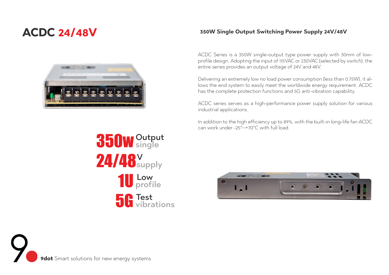## **ACDC 24/48V**

## **350W Single Output Switching Power Supply 24V/48V**



ACDC Series is a 350W single-output type power supply with 30mm of lowprofile design. Adopting the input of 115VAC or 230VAC (selected by switch), the entire series provides an output voltage of 24V and 48V.

Delivering an extremely low no load power consumption (less than 0.75W), it allows the end system to easily meet the worldwide energy requirement. ACDC has the complete protection functions and 5G anti-vibration capability.

ACDC series serves as a high-performance power supply solution for various industrial applications.

In addition to the high efficiency up to 89%, with the built-in long-life fan ACDC can work under -25°~+70°C with full load.